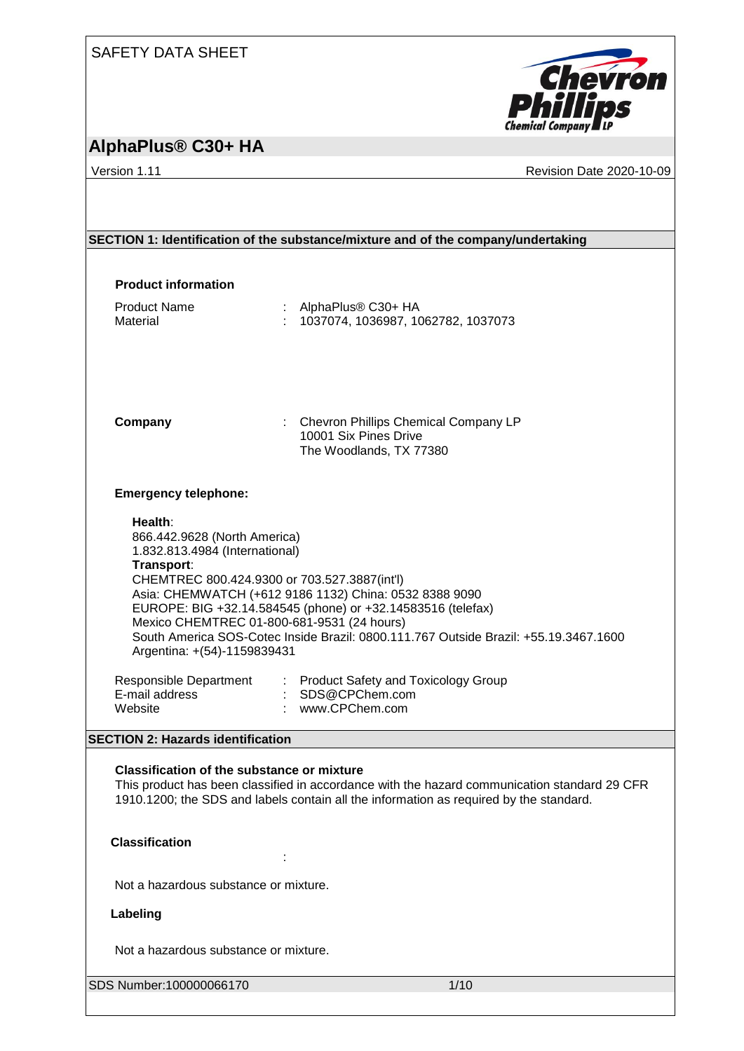### SAFETY DATA SHEET



## **AlphaPlus® C30+ HA**

Version 1.11 **Version 1.11** Revision Date 2020-10-09

|                                                                                                                                                                                                                                             | SECTION 1: Identification of the substance/mixture and of the company/undertaking                                                                                                                                                                                                                           |  |
|---------------------------------------------------------------------------------------------------------------------------------------------------------------------------------------------------------------------------------------------|-------------------------------------------------------------------------------------------------------------------------------------------------------------------------------------------------------------------------------------------------------------------------------------------------------------|--|
|                                                                                                                                                                                                                                             |                                                                                                                                                                                                                                                                                                             |  |
| <b>Product information</b>                                                                                                                                                                                                                  |                                                                                                                                                                                                                                                                                                             |  |
| <b>Product Name</b><br>Material                                                                                                                                                                                                             | : AlphaPlus® C30+ HA<br>: 1037074, 1036987, 1062782, 1037073                                                                                                                                                                                                                                                |  |
| Company                                                                                                                                                                                                                                     | : Chevron Phillips Chemical Company LP<br>10001 Six Pines Drive<br>The Woodlands, TX 77380                                                                                                                                                                                                                  |  |
| <b>Emergency telephone:</b>                                                                                                                                                                                                                 |                                                                                                                                                                                                                                                                                                             |  |
| Health:<br>866.442.9628 (North America)<br>1.832.813.4984 (International)<br>Transport:<br>Argentina: +(54)-1159839431                                                                                                                      | CHEMTREC 800.424.9300 or 703.527.3887(int'l)<br>Asia: CHEMWATCH (+612 9186 1132) China: 0532 8388 9090<br>EUROPE: BIG +32.14.584545 (phone) or +32.14583516 (telefax)<br>Mexico CHEMTREC 01-800-681-9531 (24 hours)<br>South America SOS-Cotec Inside Brazil: 0800.111.767 Outside Brazil: +55.19.3467.1600 |  |
| Responsible Department<br>E-mail address<br>Website                                                                                                                                                                                         | : Product Safety and Toxicology Group<br>SDS@CPChem.com<br>www.CPChem.com                                                                                                                                                                                                                                   |  |
| <b>SECTION 2: Hazards identification</b>                                                                                                                                                                                                    |                                                                                                                                                                                                                                                                                                             |  |
| <b>Classification of the substance or mixture</b><br>This product has been classified in accordance with the hazard communication standard 29 CFR<br>1910.1200; the SDS and labels contain all the information as required by the standard. |                                                                                                                                                                                                                                                                                                             |  |
| <b>Classification</b>                                                                                                                                                                                                                       |                                                                                                                                                                                                                                                                                                             |  |
| Not a hazardous substance or mixture.                                                                                                                                                                                                       |                                                                                                                                                                                                                                                                                                             |  |
| Labeling                                                                                                                                                                                                                                    |                                                                                                                                                                                                                                                                                                             |  |
| Not a hazardous substance or mixture.                                                                                                                                                                                                       |                                                                                                                                                                                                                                                                                                             |  |
| SDS Number:100000066170                                                                                                                                                                                                                     | 1/10                                                                                                                                                                                                                                                                                                        |  |
|                                                                                                                                                                                                                                             |                                                                                                                                                                                                                                                                                                             |  |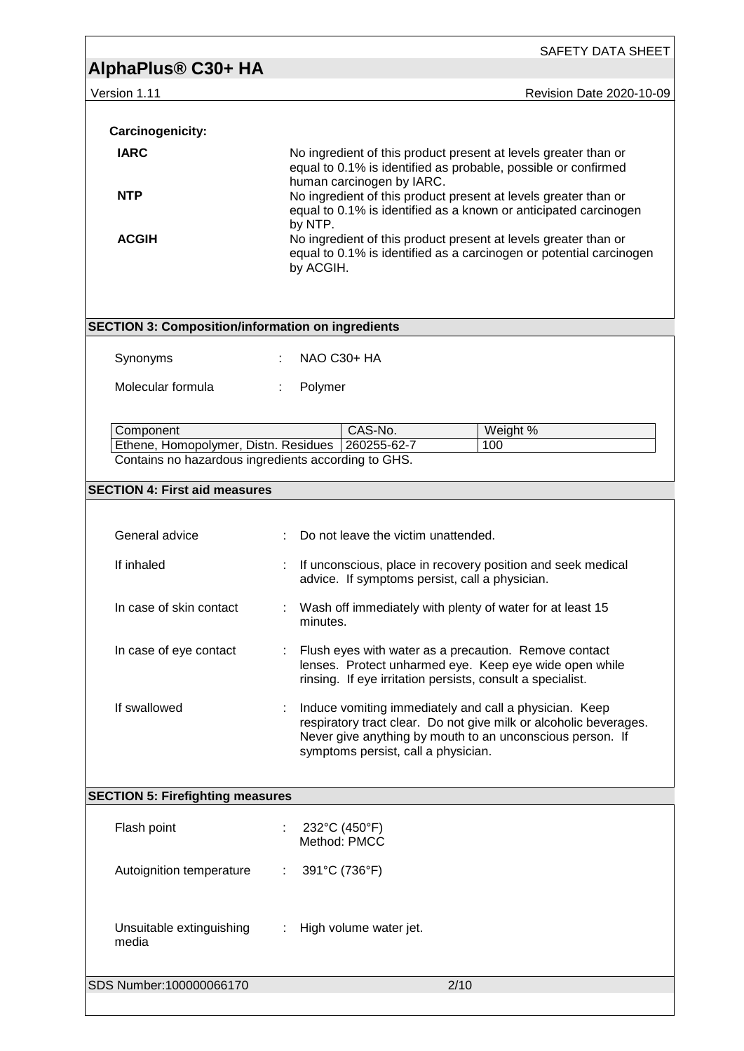|                                                                                                          | SAFETY DATA SHEET                                                                                                                                                                                                               |  |  |  |
|----------------------------------------------------------------------------------------------------------|---------------------------------------------------------------------------------------------------------------------------------------------------------------------------------------------------------------------------------|--|--|--|
| AlphaPlus <sup>®</sup> C30+ HA                                                                           |                                                                                                                                                                                                                                 |  |  |  |
| Version 1.11                                                                                             | <b>Revision Date 2020-10-09</b>                                                                                                                                                                                                 |  |  |  |
|                                                                                                          |                                                                                                                                                                                                                                 |  |  |  |
| <b>Carcinogenicity:</b>                                                                                  |                                                                                                                                                                                                                                 |  |  |  |
| <b>IARC</b>                                                                                              | No ingredient of this product present at levels greater than or<br>equal to 0.1% is identified as probable, possible or confirmed                                                                                               |  |  |  |
| <b>NTP</b>                                                                                               | human carcinogen by IARC.<br>No ingredient of this product present at levels greater than or<br>equal to 0.1% is identified as a known or anticipated carcinogen                                                                |  |  |  |
| <b>ACGIH</b>                                                                                             | by NTP.<br>No ingredient of this product present at levels greater than or<br>equal to 0.1% is identified as a carcinogen or potential carcinogen<br>by ACGIH.                                                                  |  |  |  |
| <b>SECTION 3: Composition/information on ingredients</b>                                                 |                                                                                                                                                                                                                                 |  |  |  |
| Synonyms                                                                                                 | NAO C30+ HA                                                                                                                                                                                                                     |  |  |  |
| Molecular formula                                                                                        | Polymer                                                                                                                                                                                                                         |  |  |  |
| Component<br>Ethene, Homopolymer, Distn. Residues<br>Contains no hazardous ingredients according to GHS. | CAS-No.<br>Weight %<br>260255-62-7<br>100                                                                                                                                                                                       |  |  |  |
|                                                                                                          |                                                                                                                                                                                                                                 |  |  |  |
| <b>SECTION 4: First aid measures</b>                                                                     |                                                                                                                                                                                                                                 |  |  |  |
|                                                                                                          |                                                                                                                                                                                                                                 |  |  |  |
| General advice                                                                                           | Do not leave the victim unattended.                                                                                                                                                                                             |  |  |  |
| If inhaled                                                                                               | If unconscious, place in recovery position and seek medical<br>÷.<br>advice. If symptoms persist, call a physician.                                                                                                             |  |  |  |
| In case of skin contact                                                                                  | Wash off immediately with plenty of water for at least 15<br>minutes.                                                                                                                                                           |  |  |  |
| In case of eye contact                                                                                   | Flush eyes with water as a precaution. Remove contact<br>lenses. Protect unharmed eye. Keep eye wide open while<br>rinsing. If eye irritation persists, consult a specialist.                                                   |  |  |  |
| If swallowed                                                                                             | Induce vomiting immediately and call a physician. Keep<br>respiratory tract clear. Do not give milk or alcoholic beverages.<br>Never give anything by mouth to an unconscious person. If<br>symptoms persist, call a physician. |  |  |  |
|                                                                                                          | <b>SECTION 5: Firefighting measures</b>                                                                                                                                                                                         |  |  |  |
| Flash point                                                                                              | 232°C (450°F)<br>÷                                                                                                                                                                                                              |  |  |  |
|                                                                                                          | Method: PMCC                                                                                                                                                                                                                    |  |  |  |
| Autoignition temperature                                                                                 | 391°C (736°F)<br>÷                                                                                                                                                                                                              |  |  |  |
| Unsuitable extinguishing<br>media                                                                        | High volume water jet.                                                                                                                                                                                                          |  |  |  |
| SDS Number:100000066170                                                                                  | 2/10                                                                                                                                                                                                                            |  |  |  |

ľ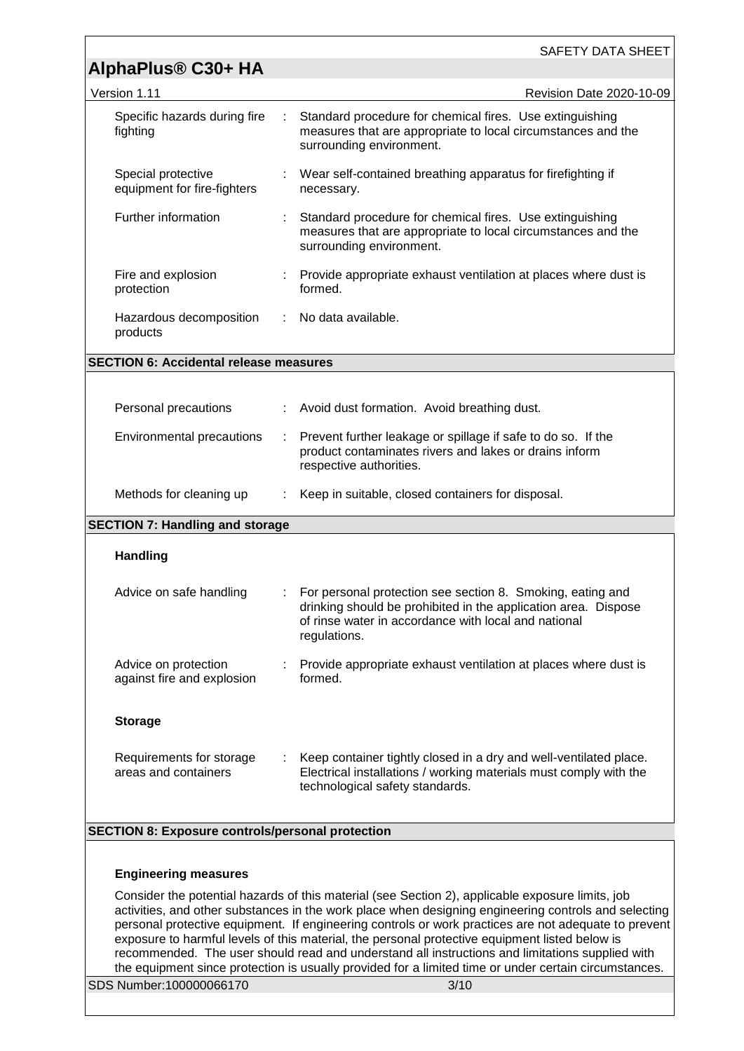|                                                         |    | <b>SAFETY DATA SHEET</b>                                                                                                                                                                                                                                                                                                                                                                                                                                                                                                                                                                                                       |  |
|---------------------------------------------------------|----|--------------------------------------------------------------------------------------------------------------------------------------------------------------------------------------------------------------------------------------------------------------------------------------------------------------------------------------------------------------------------------------------------------------------------------------------------------------------------------------------------------------------------------------------------------------------------------------------------------------------------------|--|
| AlphaPlus <sup>®</sup> C30+ HA                          |    |                                                                                                                                                                                                                                                                                                                                                                                                                                                                                                                                                                                                                                |  |
| Version 1.11                                            |    | Revision Date 2020-10-09                                                                                                                                                                                                                                                                                                                                                                                                                                                                                                                                                                                                       |  |
| Specific hazards during fire<br>fighting                |    | Standard procedure for chemical fires. Use extinguishing<br>measures that are appropriate to local circumstances and the<br>surrounding environment.                                                                                                                                                                                                                                                                                                                                                                                                                                                                           |  |
| Special protective<br>equipment for fire-fighters       |    | Wear self-contained breathing apparatus for firefighting if<br>necessary.                                                                                                                                                                                                                                                                                                                                                                                                                                                                                                                                                      |  |
| Further information                                     |    | Standard procedure for chemical fires. Use extinguishing<br>measures that are appropriate to local circumstances and the<br>surrounding environment.                                                                                                                                                                                                                                                                                                                                                                                                                                                                           |  |
| Fire and explosion<br>protection                        |    | : Provide appropriate exhaust ventilation at places where dust is<br>formed.                                                                                                                                                                                                                                                                                                                                                                                                                                                                                                                                                   |  |
| Hazardous decomposition<br>products                     | ÷. | No data available.                                                                                                                                                                                                                                                                                                                                                                                                                                                                                                                                                                                                             |  |
| <b>SECTION 6: Accidental release measures</b>           |    |                                                                                                                                                                                                                                                                                                                                                                                                                                                                                                                                                                                                                                |  |
|                                                         |    |                                                                                                                                                                                                                                                                                                                                                                                                                                                                                                                                                                                                                                |  |
| Personal precautions                                    |    | : Avoid dust formation. Avoid breathing dust.                                                                                                                                                                                                                                                                                                                                                                                                                                                                                                                                                                                  |  |
| Environmental precautions                               | ÷  | Prevent further leakage or spillage if safe to do so. If the<br>product contaminates rivers and lakes or drains inform<br>respective authorities.                                                                                                                                                                                                                                                                                                                                                                                                                                                                              |  |
| Methods for cleaning up                                 | ÷  | Keep in suitable, closed containers for disposal.                                                                                                                                                                                                                                                                                                                                                                                                                                                                                                                                                                              |  |
| <b>SECTION 7: Handling and storage</b>                  |    |                                                                                                                                                                                                                                                                                                                                                                                                                                                                                                                                                                                                                                |  |
| <b>Handling</b>                                         |    |                                                                                                                                                                                                                                                                                                                                                                                                                                                                                                                                                                                                                                |  |
| Advice on safe handling                                 |    | : For personal protection see section 8. Smoking, eating and<br>drinking should be prohibited in the application area. Dispose<br>of rinse water in accordance with local and national<br>regulations.                                                                                                                                                                                                                                                                                                                                                                                                                         |  |
| Advice on protection<br>against fire and explosion      |    | Provide appropriate exhaust ventilation at places where dust is<br>formed.                                                                                                                                                                                                                                                                                                                                                                                                                                                                                                                                                     |  |
| <b>Storage</b>                                          |    |                                                                                                                                                                                                                                                                                                                                                                                                                                                                                                                                                                                                                                |  |
| Requirements for storage<br>areas and containers        |    | Keep container tightly closed in a dry and well-ventilated place.<br>Electrical installations / working materials must comply with the<br>technological safety standards.                                                                                                                                                                                                                                                                                                                                                                                                                                                      |  |
| <b>SECTION 8: Exposure controls/personal protection</b> |    |                                                                                                                                                                                                                                                                                                                                                                                                                                                                                                                                                                                                                                |  |
|                                                         |    |                                                                                                                                                                                                                                                                                                                                                                                                                                                                                                                                                                                                                                |  |
| <b>Engineering measures</b>                             |    |                                                                                                                                                                                                                                                                                                                                                                                                                                                                                                                                                                                                                                |  |
|                                                         |    | Consider the potential hazards of this material (see Section 2), applicable exposure limits, job<br>activities, and other substances in the work place when designing engineering controls and selecting<br>personal protective equipment. If engineering controls or work practices are not adequate to prevent<br>exposure to harmful levels of this material, the personal protective equipment listed below is<br>recommended. The user should read and understand all instructions and limitations supplied with<br>the equipment since protection is usually provided for a limited time or under certain circumstances. |  |
| SDS Number:100000066170                                 |    | 3/10                                                                                                                                                                                                                                                                                                                                                                                                                                                                                                                                                                                                                           |  |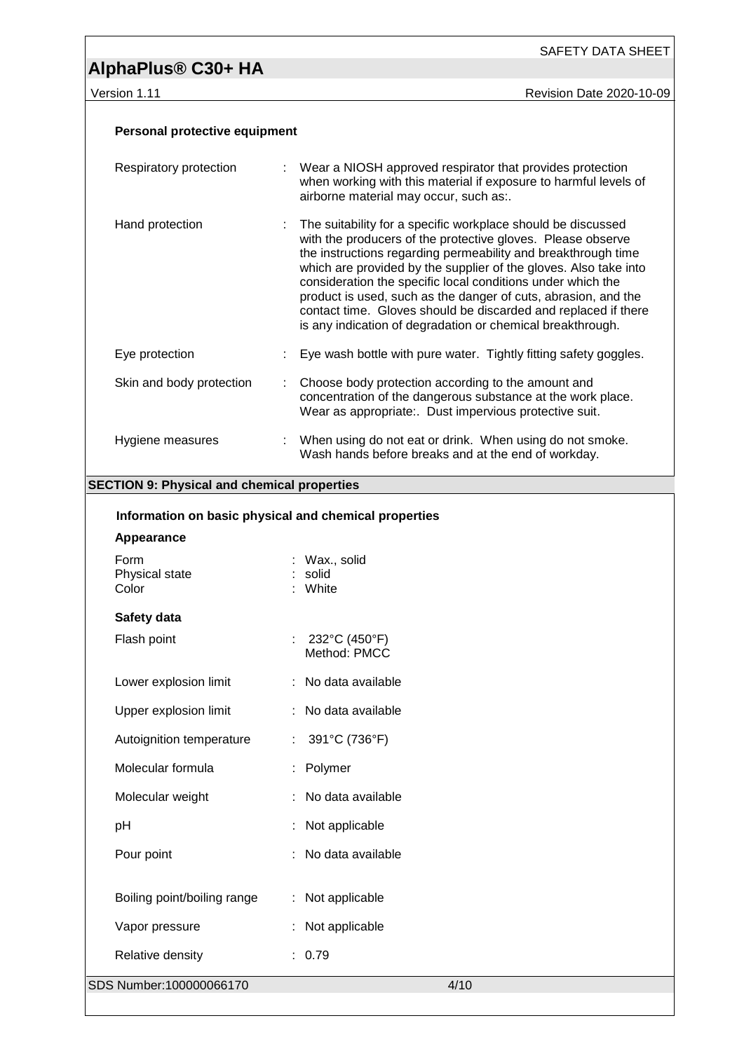SAFETY DATA SHEET

version 1.11 **New York 2020-10-09** 

| Personal protective equipment                         |  |                                                                                                                                                                                                                                                                                                                                                                                                                                                                                                                                   |  |  |
|-------------------------------------------------------|--|-----------------------------------------------------------------------------------------------------------------------------------------------------------------------------------------------------------------------------------------------------------------------------------------------------------------------------------------------------------------------------------------------------------------------------------------------------------------------------------------------------------------------------------|--|--|
| Respiratory protection                                |  | : Wear a NIOSH approved respirator that provides protection<br>when working with this material if exposure to harmful levels of<br>airborne material may occur, such as:.                                                                                                                                                                                                                                                                                                                                                         |  |  |
| Hand protection                                       |  | The suitability for a specific workplace should be discussed<br>with the producers of the protective gloves. Please observe<br>the instructions regarding permeability and breakthrough time<br>which are provided by the supplier of the gloves. Also take into<br>consideration the specific local conditions under which the<br>product is used, such as the danger of cuts, abrasion, and the<br>contact time. Gloves should be discarded and replaced if there<br>is any indication of degradation or chemical breakthrough. |  |  |
| Eye protection                                        |  | Eye wash bottle with pure water. Tightly fitting safety goggles.                                                                                                                                                                                                                                                                                                                                                                                                                                                                  |  |  |
| Skin and body protection                              |  | Choose body protection according to the amount and<br>concentration of the dangerous substance at the work place.<br>Wear as appropriate:. Dust impervious protective suit.                                                                                                                                                                                                                                                                                                                                                       |  |  |
| Hygiene measures                                      |  | : When using do not eat or drink. When using do not smoke.<br>Wash hands before breaks and at the end of workday.                                                                                                                                                                                                                                                                                                                                                                                                                 |  |  |
| <b>SECTION 9: Physical and chemical properties</b>    |  |                                                                                                                                                                                                                                                                                                                                                                                                                                                                                                                                   |  |  |
| Information on basic physical and chemical properties |  |                                                                                                                                                                                                                                                                                                                                                                                                                                                                                                                                   |  |  |
| Appearance                                            |  |                                                                                                                                                                                                                                                                                                                                                                                                                                                                                                                                   |  |  |
| Form<br>Physical state<br>Color                       |  | : Wax., solid<br>: solid<br>: White                                                                                                                                                                                                                                                                                                                                                                                                                                                                                               |  |  |
| Safety data                                           |  |                                                                                                                                                                                                                                                                                                                                                                                                                                                                                                                                   |  |  |
| Flash point                                           |  | : $232^{\circ}C(450^{\circ}F)$<br>Method: PMCC                                                                                                                                                                                                                                                                                                                                                                                                                                                                                    |  |  |
| Lower explosion limit                                 |  | No data available                                                                                                                                                                                                                                                                                                                                                                                                                                                                                                                 |  |  |
| Upper explosion limit                                 |  | No data available                                                                                                                                                                                                                                                                                                                                                                                                                                                                                                                 |  |  |
| Autoignition temperature                              |  | 391°C (736°F)                                                                                                                                                                                                                                                                                                                                                                                                                                                                                                                     |  |  |
| Molecular formula                                     |  | Polymer                                                                                                                                                                                                                                                                                                                                                                                                                                                                                                                           |  |  |
| Molecular weight                                      |  | No data available                                                                                                                                                                                                                                                                                                                                                                                                                                                                                                                 |  |  |
| pH                                                    |  | Not applicable                                                                                                                                                                                                                                                                                                                                                                                                                                                                                                                    |  |  |
| Pour point                                            |  | No data available                                                                                                                                                                                                                                                                                                                                                                                                                                                                                                                 |  |  |
| Boiling point/boiling range                           |  | Not applicable                                                                                                                                                                                                                                                                                                                                                                                                                                                                                                                    |  |  |
| Vapor pressure                                        |  | Not applicable                                                                                                                                                                                                                                                                                                                                                                                                                                                                                                                    |  |  |
| Relative density                                      |  | : 0.79                                                                                                                                                                                                                                                                                                                                                                                                                                                                                                                            |  |  |
| SDS Number:100000066170                               |  | 4/10                                                                                                                                                                                                                                                                                                                                                                                                                                                                                                                              |  |  |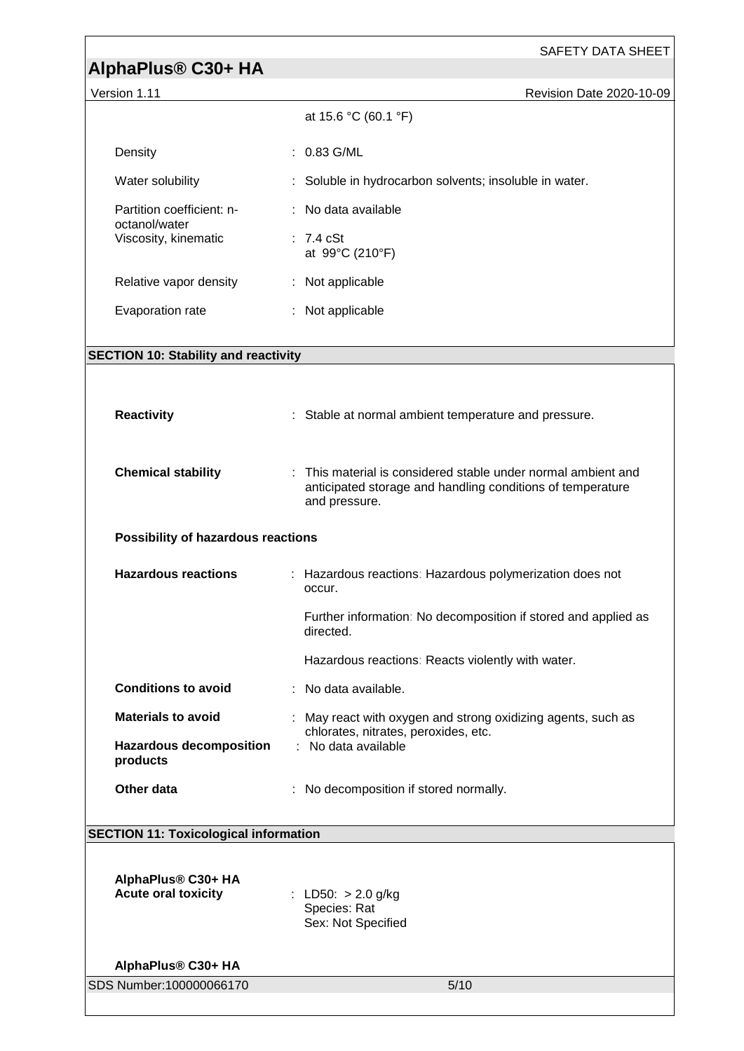| AlphaPlus® C30+ HA                               | SAFETY DATA SHEET                                                                                                                          |  |
|--------------------------------------------------|--------------------------------------------------------------------------------------------------------------------------------------------|--|
| Version 1.11                                     | Revision Date 2020-10-09                                                                                                                   |  |
|                                                  | at 15.6 °C (60.1 °F)                                                                                                                       |  |
| Density                                          | : 0.83 G/ML                                                                                                                                |  |
| Water solubility                                 | : Soluble in hydrocarbon solvents; insoluble in water.                                                                                     |  |
| Partition coefficient: n-<br>octanol/water       | : No data available                                                                                                                        |  |
| Viscosity, kinematic                             | $: 7.4 \text{ cSt}$<br>at 99°C (210°F)                                                                                                     |  |
| Relative vapor density                           | : Not applicable                                                                                                                           |  |
| Evaporation rate                                 | : Not applicable                                                                                                                           |  |
| <b>SECTION 10: Stability and reactivity</b>      |                                                                                                                                            |  |
|                                                  |                                                                                                                                            |  |
| <b>Reactivity</b>                                | : Stable at normal ambient temperature and pressure.                                                                                       |  |
| <b>Chemical stability</b>                        | This material is considered stable under normal ambient and<br>anticipated storage and handling conditions of temperature<br>and pressure. |  |
| Possibility of hazardous reactions               |                                                                                                                                            |  |
| <b>Hazardous reactions</b>                       | : Hazardous reactions: Hazardous polymerization does not<br>occur.                                                                         |  |
|                                                  | Further information: No decomposition if stored and applied as<br>directed.                                                                |  |
|                                                  | Hazardous reactions: Reacts violently with water.                                                                                          |  |
| <b>Conditions to avoid</b>                       | : No data available.                                                                                                                       |  |
| <b>Materials to avoid</b>                        | : May react with oxygen and strong oxidizing agents, such as<br>chlorates, nitrates, peroxides, etc.                                       |  |
| <b>Hazardous decomposition</b><br>products       | : No data available                                                                                                                        |  |
| Other data                                       | : No decomposition if stored normally.                                                                                                     |  |
| <b>SECTION 11: Toxicological information</b>     |                                                                                                                                            |  |
| AlphaPlus® C30+ HA<br><b>Acute oral toxicity</b> | LD50: > 2.0 g/kg<br>Species: Rat<br>Sex: Not Specified                                                                                     |  |
| AlphaPlus® C30+ HA                               |                                                                                                                                            |  |
| SDS Number:100000066170                          | 5/10                                                                                                                                       |  |
|                                                  |                                                                                                                                            |  |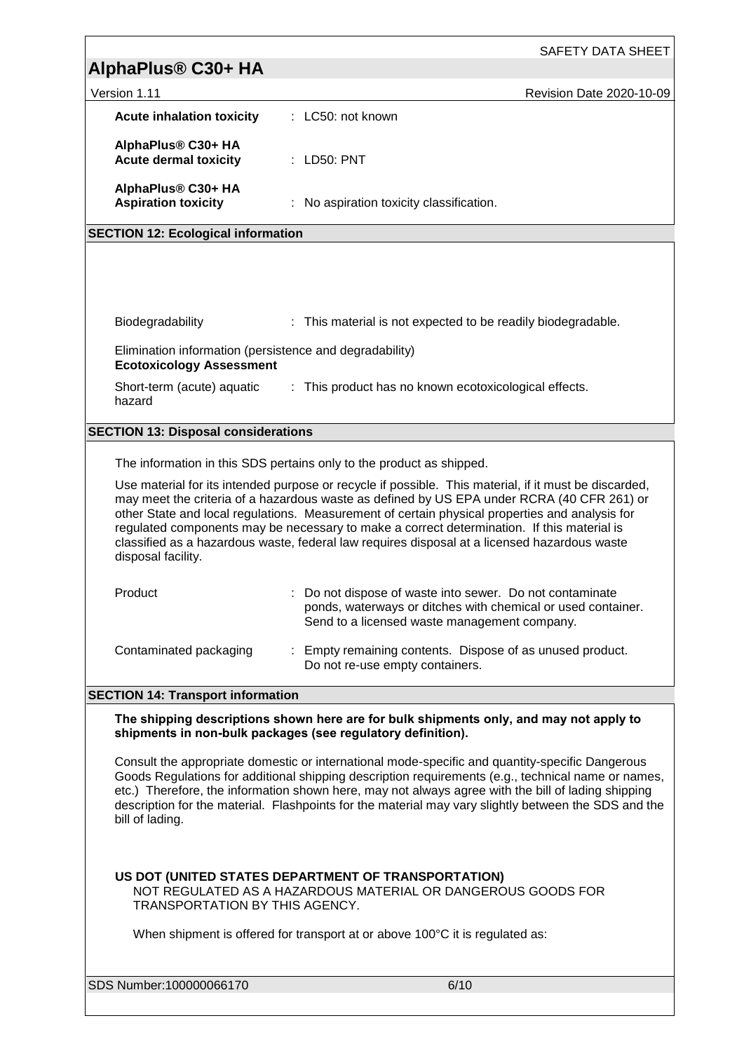|                                                                                                                                                                                                                                                                                                                                                                                                                                                                                                                           | SAFETY DATA SHEET                                                                                                                                                      |  |
|---------------------------------------------------------------------------------------------------------------------------------------------------------------------------------------------------------------------------------------------------------------------------------------------------------------------------------------------------------------------------------------------------------------------------------------------------------------------------------------------------------------------------|------------------------------------------------------------------------------------------------------------------------------------------------------------------------|--|
| AlphaPlus <sup>®</sup> C30+ HA                                                                                                                                                                                                                                                                                                                                                                                                                                                                                            |                                                                                                                                                                        |  |
| Version 1.11                                                                                                                                                                                                                                                                                                                                                                                                                                                                                                              | Revision Date 2020-10-09                                                                                                                                               |  |
| <b>Acute inhalation toxicity</b>                                                                                                                                                                                                                                                                                                                                                                                                                                                                                          | : LC50: not known                                                                                                                                                      |  |
| AlphaPlus® C30+ HA<br><b>Acute dermal toxicity</b>                                                                                                                                                                                                                                                                                                                                                                                                                                                                        | $:$ LD50: PNT                                                                                                                                                          |  |
| AlphaPlus® C30+ HA<br><b>Aspiration toxicity</b>                                                                                                                                                                                                                                                                                                                                                                                                                                                                          | : No aspiration toxicity classification.                                                                                                                               |  |
| <b>SECTION 12: Ecological information</b>                                                                                                                                                                                                                                                                                                                                                                                                                                                                                 |                                                                                                                                                                        |  |
|                                                                                                                                                                                                                                                                                                                                                                                                                                                                                                                           |                                                                                                                                                                        |  |
| Biodegradability                                                                                                                                                                                                                                                                                                                                                                                                                                                                                                          | : This material is not expected to be readily biodegradable.                                                                                                           |  |
| Elimination information (persistence and degradability)<br><b>Ecotoxicology Assessment</b>                                                                                                                                                                                                                                                                                                                                                                                                                                |                                                                                                                                                                        |  |
| Short-term (acute) aquatic<br>hazard                                                                                                                                                                                                                                                                                                                                                                                                                                                                                      | : This product has no known ecotoxicological effects.                                                                                                                  |  |
| <b>SECTION 13: Disposal considerations</b>                                                                                                                                                                                                                                                                                                                                                                                                                                                                                |                                                                                                                                                                        |  |
|                                                                                                                                                                                                                                                                                                                                                                                                                                                                                                                           | The information in this SDS pertains only to the product as shipped.                                                                                                   |  |
| Use material for its intended purpose or recycle if possible. This material, if it must be discarded,<br>may meet the criteria of a hazardous waste as defined by US EPA under RCRA (40 CFR 261) or<br>other State and local regulations. Measurement of certain physical properties and analysis for<br>regulated components may be necessary to make a correct determination. If this material is<br>classified as a hazardous waste, federal law requires disposal at a licensed hazardous waste<br>disposal facility. |                                                                                                                                                                        |  |
| Product                                                                                                                                                                                                                                                                                                                                                                                                                                                                                                                   | Do not dispose of waste into sewer. Do not contaminate<br>ponds, waterways or ditches with chemical or used container.<br>Send to a licensed waste management company. |  |
| Contaminated packaging                                                                                                                                                                                                                                                                                                                                                                                                                                                                                                    | : Empty remaining contents. Dispose of as unused product.<br>Do not re-use empty containers.                                                                           |  |
| <b>SECTION 14: Transport information</b>                                                                                                                                                                                                                                                                                                                                                                                                                                                                                  |                                                                                                                                                                        |  |
|                                                                                                                                                                                                                                                                                                                                                                                                                                                                                                                           | The shipping descriptions shown here are for bulk shipments only, and may not apply to<br>shipments in non-bulk packages (see regulatory definition).                  |  |
| Consult the appropriate domestic or international mode-specific and quantity-specific Dangerous<br>Goods Regulations for additional shipping description requirements (e.g., technical name or names,<br>etc.) Therefore, the information shown here, may not always agree with the bill of lading shipping<br>description for the material. Flashpoints for the material may vary slightly between the SDS and the<br>bill of lading.                                                                                    |                                                                                                                                                                        |  |
| US DOT (UNITED STATES DEPARTMENT OF TRANSPORTATION)<br>NOT REGULATED AS A HAZARDOUS MATERIAL OR DANGEROUS GOODS FOR<br>TRANSPORTATION BY THIS AGENCY.                                                                                                                                                                                                                                                                                                                                                                     |                                                                                                                                                                        |  |
|                                                                                                                                                                                                                                                                                                                                                                                                                                                                                                                           | When shipment is offered for transport at or above 100°C it is regulated as:                                                                                           |  |
| SDS Number:100000066170                                                                                                                                                                                                                                                                                                                                                                                                                                                                                                   | 6/10                                                                                                                                                                   |  |
|                                                                                                                                                                                                                                                                                                                                                                                                                                                                                                                           |                                                                                                                                                                        |  |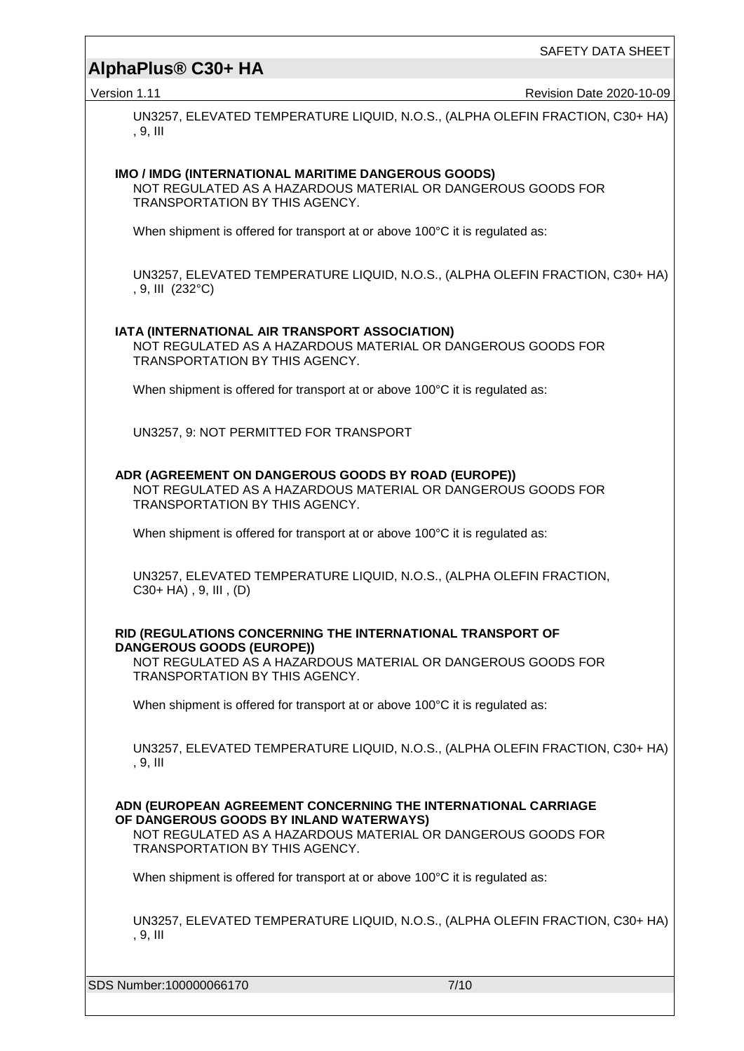SAFETY DATA SHEET

Version 1.11 **New Strategies 2020-10-09** Revision Date 2020-10-09

UN3257, ELEVATED TEMPERATURE LIQUID, N.O.S., (ALPHA OLEFIN FRACTION, C30+ HA) , 9, III

## **IMO / IMDG (INTERNATIONAL MARITIME DANGEROUS GOODS)**

NOT REGULATED AS A HAZARDOUS MATERIAL OR DANGEROUS GOODS FOR TRANSPORTATION BY THIS AGENCY.

When shipment is offered for transport at or above 100°C it is regulated as:

UN3257, ELEVATED TEMPERATURE LIQUID, N.O.S., (ALPHA OLEFIN FRACTION, C30+ HA) , 9, III (232°C)

#### **IATA (INTERNATIONAL AIR TRANSPORT ASSOCIATION)**

NOT REGULATED AS A HAZARDOUS MATERIAL OR DANGEROUS GOODS FOR TRANSPORTATION BY THIS AGENCY.

When shipment is offered for transport at or above 100°C it is regulated as:

UN3257, 9: NOT PERMITTED FOR TRANSPORT

#### **ADR (AGREEMENT ON DANGEROUS GOODS BY ROAD (EUROPE))**

NOT REGULATED AS A HAZARDOUS MATERIAL OR DANGEROUS GOODS FOR TRANSPORTATION BY THIS AGENCY.

When shipment is offered for transport at or above 100°C it is regulated as:

UN3257, ELEVATED TEMPERATURE LIQUID, N.O.S., (ALPHA OLEFIN FRACTION,  $C30+HA$ , 9, III,  $(D)$ 

#### **RID (REGULATIONS CONCERNING THE INTERNATIONAL TRANSPORT OF DANGEROUS GOODS (EUROPE))**

NOT REGULATED AS A HAZARDOUS MATERIAL OR DANGEROUS GOODS FOR TRANSPORTATION BY THIS AGENCY.

When shipment is offered for transport at or above 100°C it is regulated as:

UN3257, ELEVATED TEMPERATURE LIQUID, N.O.S., (ALPHA OLEFIN FRACTION, C30+ HA) , 9, III

#### **ADN (EUROPEAN AGREEMENT CONCERNING THE INTERNATIONAL CARRIAGE OF DANGEROUS GOODS BY INLAND WATERWAYS)**

NOT REGULATED AS A HAZARDOUS MATERIAL OR DANGEROUS GOODS FOR TRANSPORTATION BY THIS AGENCY.

When shipment is offered for transport at or above 100°C it is regulated as:

UN3257, ELEVATED TEMPERATURE LIQUID, N.O.S., (ALPHA OLEFIN FRACTION, C30+ HA) , 9, III

SDS Number:100000066170 7/10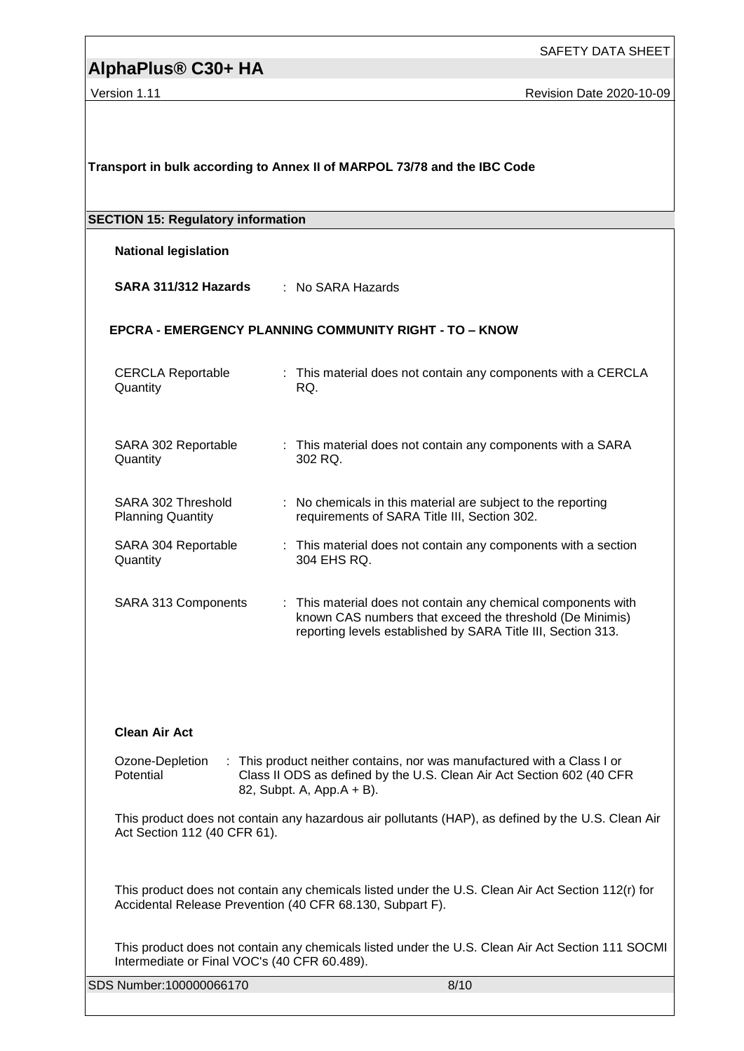SAFETY DATA SHEET

Version 1.11 **Version 1.11** Revision Date 2020-10-09

| Transport in bulk according to Annex II of MARPOL 73/78 and the IBC Code                                                                                                                                      |                                                                                                                                                                                           |  |  |
|---------------------------------------------------------------------------------------------------------------------------------------------------------------------------------------------------------------|-------------------------------------------------------------------------------------------------------------------------------------------------------------------------------------------|--|--|
| <b>SECTION 15: Regulatory information</b>                                                                                                                                                                     |                                                                                                                                                                                           |  |  |
| <b>National legislation</b>                                                                                                                                                                                   |                                                                                                                                                                                           |  |  |
| SARA 311/312 Hazards                                                                                                                                                                                          | : No SARA Hazards                                                                                                                                                                         |  |  |
| <b>EPCRA - EMERGENCY PLANNING COMMUNITY RIGHT - TO - KNOW</b>                                                                                                                                                 |                                                                                                                                                                                           |  |  |
| <b>CERCLA Reportable</b><br>Quantity                                                                                                                                                                          | : This material does not contain any components with a CERCLA<br>RQ.                                                                                                                      |  |  |
| SARA 302 Reportable<br>Quantity                                                                                                                                                                               | : This material does not contain any components with a SARA<br>302 RQ.                                                                                                                    |  |  |
| SARA 302 Threshold<br>÷.<br><b>Planning Quantity</b>                                                                                                                                                          | No chemicals in this material are subject to the reporting<br>requirements of SARA Title III, Section 302.                                                                                |  |  |
| SARA 304 Reportable<br>Quantity                                                                                                                                                                               | : This material does not contain any components with a section<br>304 EHS RQ.                                                                                                             |  |  |
| SARA 313 Components                                                                                                                                                                                           | : This material does not contain any chemical components with<br>known CAS numbers that exceed the threshold (De Minimis)<br>reporting levels established by SARA Title III, Section 313. |  |  |
| <b>Clean Air Act</b>                                                                                                                                                                                          |                                                                                                                                                                                           |  |  |
| Ozone-Depletion<br>: This product neither contains, nor was manufactured with a Class I or<br>Potential<br>Class II ODS as defined by the U.S. Clean Air Act Section 602 (40 CFR<br>82, Subpt. A, App.A + B). |                                                                                                                                                                                           |  |  |
| This product does not contain any hazardous air pollutants (HAP), as defined by the U.S. Clean Air<br>Act Section 112 (40 CFR 61).                                                                            |                                                                                                                                                                                           |  |  |
| This product does not contain any chemicals listed under the U.S. Clean Air Act Section 112(r) for<br>Accidental Release Prevention (40 CFR 68.130, Subpart F).                                               |                                                                                                                                                                                           |  |  |
| Intermediate or Final VOC's (40 CFR 60.489).                                                                                                                                                                  | This product does not contain any chemicals listed under the U.S. Clean Air Act Section 111 SOCMI                                                                                         |  |  |
| SDS Number:100000066170                                                                                                                                                                                       | 8/10                                                                                                                                                                                      |  |  |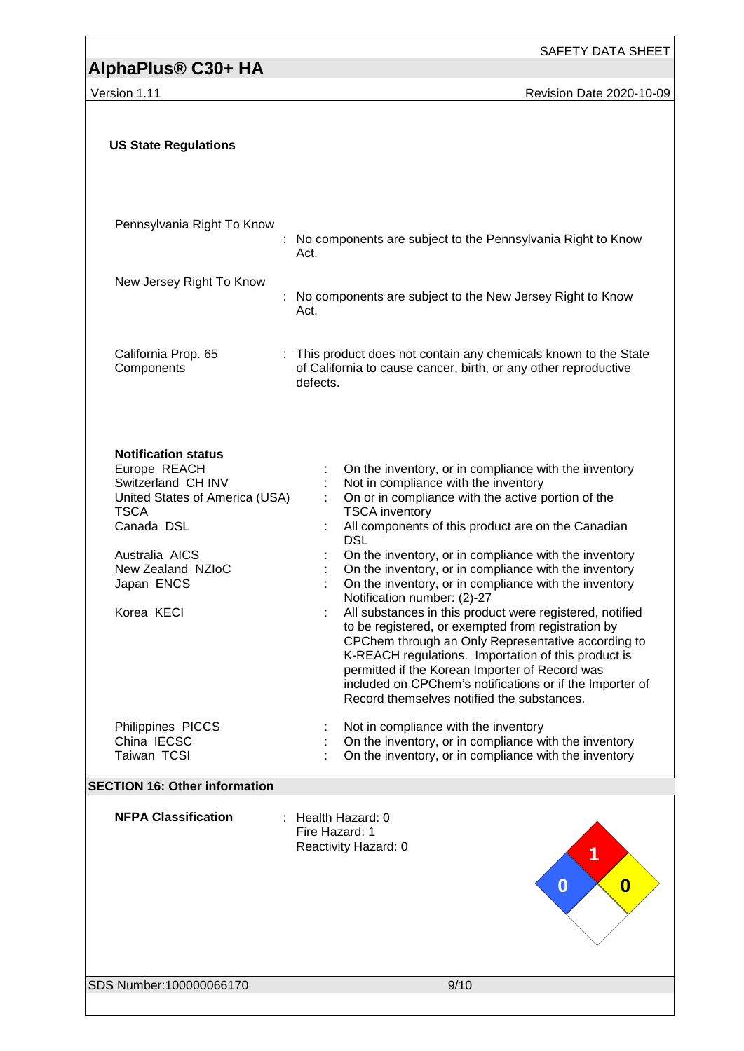SAFETY DATA SHEET

Version 1.11 **Version 1.11** Revision Date 2020-10-09

| <b>US State Regulations</b>                                                                                                                                                                        |                                                                                                                                                                                                                                                                                                                                                                                                                                                                                                                                                                                                                                                                                                                                                                                                                                                       |  |  |
|----------------------------------------------------------------------------------------------------------------------------------------------------------------------------------------------------|-------------------------------------------------------------------------------------------------------------------------------------------------------------------------------------------------------------------------------------------------------------------------------------------------------------------------------------------------------------------------------------------------------------------------------------------------------------------------------------------------------------------------------------------------------------------------------------------------------------------------------------------------------------------------------------------------------------------------------------------------------------------------------------------------------------------------------------------------------|--|--|
| Pennsylvania Right To Know                                                                                                                                                                         | No components are subject to the Pennsylvania Right to Know<br>Act.                                                                                                                                                                                                                                                                                                                                                                                                                                                                                                                                                                                                                                                                                                                                                                                   |  |  |
| New Jersey Right To Know                                                                                                                                                                           | : No components are subject to the New Jersey Right to Know<br>Act.                                                                                                                                                                                                                                                                                                                                                                                                                                                                                                                                                                                                                                                                                                                                                                                   |  |  |
| California Prop. 65<br>Components                                                                                                                                                                  | : This product does not contain any chemicals known to the State<br>of California to cause cancer, birth, or any other reproductive<br>defects.                                                                                                                                                                                                                                                                                                                                                                                                                                                                                                                                                                                                                                                                                                       |  |  |
| <b>Notification status</b><br>Europe REACH<br>Switzerland CH INV<br>United States of America (USA)<br><b>TSCA</b><br>Canada DSL<br>Australia AICS<br>New Zealand NZIoC<br>Japan ENCS<br>Korea KECI | On the inventory, or in compliance with the inventory<br>Not in compliance with the inventory<br>On or in compliance with the active portion of the<br><b>TSCA</b> inventory<br>All components of this product are on the Canadian<br><b>DSL</b><br>On the inventory, or in compliance with the inventory<br>On the inventory, or in compliance with the inventory<br>On the inventory, or in compliance with the inventory<br>Notification number: (2)-27<br>All substances in this product were registered, notified<br>to be registered, or exempted from registration by<br>CPChem through an Only Representative according to<br>K-REACH regulations. Importation of this product is<br>permitted if the Korean Importer of Record was<br>included on CPChem's notifications or if the Importer of<br>Record themselves notified the substances. |  |  |
| Philippines PICCS<br>China IECSC<br>Taiwan TCSI                                                                                                                                                    | Not in compliance with the inventory<br>On the inventory, or in compliance with the inventory<br>On the inventory, or in compliance with the inventory                                                                                                                                                                                                                                                                                                                                                                                                                                                                                                                                                                                                                                                                                                |  |  |
| <b>SECTION 16: Other information</b>                                                                                                                                                               |                                                                                                                                                                                                                                                                                                                                                                                                                                                                                                                                                                                                                                                                                                                                                                                                                                                       |  |  |
| <b>NFPA Classification</b>                                                                                                                                                                         | Health Hazard: 0<br>Fire Hazard: 1<br>Reactivity Hazard: 0<br>1<br>0<br>$\bf{0}$                                                                                                                                                                                                                                                                                                                                                                                                                                                                                                                                                                                                                                                                                                                                                                      |  |  |
| SDS Number:100000066170                                                                                                                                                                            | 9/10                                                                                                                                                                                                                                                                                                                                                                                                                                                                                                                                                                                                                                                                                                                                                                                                                                                  |  |  |
|                                                                                                                                                                                                    |                                                                                                                                                                                                                                                                                                                                                                                                                                                                                                                                                                                                                                                                                                                                                                                                                                                       |  |  |